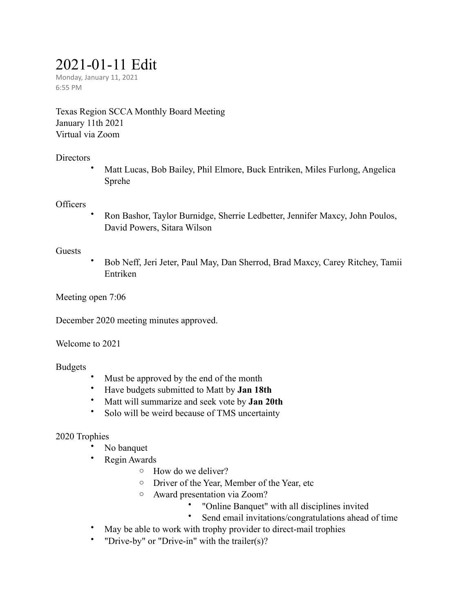# 2021-01-11 Edit

Monday, January 11, 2021 6:55 PM

Texas Region SCCA Monthly Board Meeting January 11th 2021 Virtual via Zoom

#### **Directors**

• Matt Lucas, Bob Bailey, Phil Elmore, Buck Entriken, Miles Furlong, Angelica Sprehe

#### **Officers**

• Ron Bashor, Taylor Burnidge, Sherrie Ledbetter, Jennifer Maxcy, John Poulos, David Powers, Sitara Wilson

#### Guests

• Bob Neff, Jeri Jeter, Paul May, Dan Sherrod, Brad Maxcy, Carey Ritchey, Tamii Entriken

Meeting open 7:06

December 2020 meeting minutes approved.

Welcome to 2021

#### Budgets

- Must be approved by the end of the month
- Have budgets submitted to Matt by **Jan 18th**
- Matt will summarize and seek vote by **Jan 20th**
- Solo will be weird because of TMS uncertainty

# 2020 Trophies

- No banquet
- Regin Awards
	- o How do we deliver?
	- o Driver of the Year, Member of the Year, etc
	- o Award presentation via Zoom?
		- "Online Banquet" with all disciplines invited
		- Send email invitations/congratulations ahead of time
- May be able to work with trophy provider to direct-mail trophies
- "Drive-by" or "Drive-in" with the trailer(s)?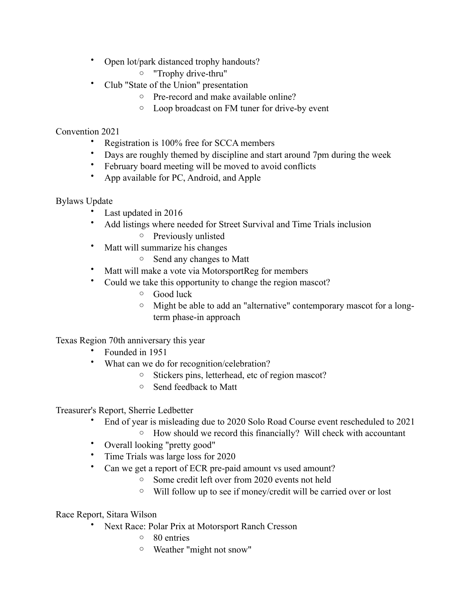- Open lot/park distanced trophy handouts?
	- o "Trophy drive-thru"
- Club "State of the Union" presentation
	- o Pre-record and make available online?
	- o Loop broadcast on FM tuner for drive-by event

### Convention 2021

- Registration is 100% free for SCCA members
- Days are roughly themed by discipline and start around 7pm during the week
- February board meeting will be moved to avoid conflicts
- App available for PC, Android, and Apple

# Bylaws Update

- Last updated in 2016
- Add listings where needed for Street Survival and Time Trials inclusion
	- o Previously unlisted
- Matt will summarize his changes
	- o Send any changes to Matt
- Matt will make a vote via MotorsportReg for members
- Could we take this opportunity to change the region mascot?
	- o Good luck
	- o Might be able to add an "alternative" contemporary mascot for a longterm phase-in approach

Texas Region 70th anniversary this year

- Founded in 1951
- What can we do for recognition/celebration?
	- o Stickers pins, letterhead, etc of region mascot?
	- o Send feedback to Matt

Treasurer's Report, Sherrie Ledbetter

- End of year is misleading due to 2020 Solo Road Course event rescheduled to 2021
	- o How should we record this financially? Will check with accountant
	- Overall looking "pretty good"
- Time Trials was large loss for 2020
- Can we get a report of ECR pre-paid amount vs used amount?
	- o Some credit left over from 2020 events not held
	- o Will follow up to see if money/credit will be carried over or lost

Race Report, Sitara Wilson

- Next Race: Polar Prix at Motorsport Ranch Cresson
	- o 80 entries
	- o Weather "might not snow"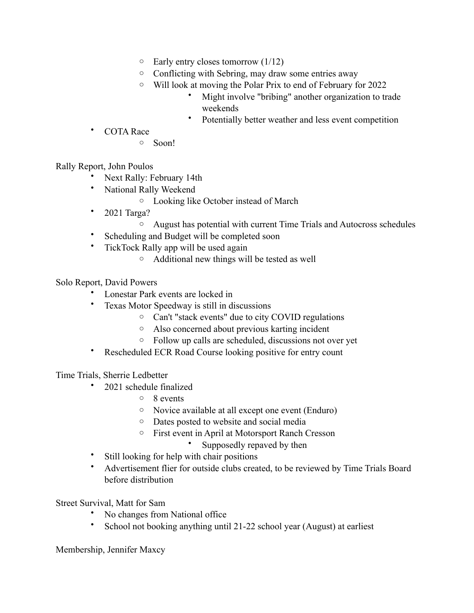- $\circ$  Early entry closes tomorrow (1/12)
- o Conflicting with Sebring, may draw some entries away
- o Will look at moving the Polar Prix to end of February for 2022
	- Might involve "bribing" another organization to trade weekends
	- Potentially better weather and less event competition
- COTA Race
	- o Soon!

Rally Report, John Poulos

- Next Rally: February 14th
- National Rally Weekend
	- o Looking like October instead of March
- 2021 Targa?
	- o August has potential with current Time Trials and Autocross schedules
- Scheduling and Budget will be completed soon
- TickTock Rally app will be used again
	- o Additional new things will be tested as well

Solo Report, David Powers

- Lonestar Park events are locked in
- Texas Motor Speedway is still in discussions
	- o Can't "stack events" due to city COVID regulations
	- o Also concerned about previous karting incident
	- o Follow up calls are scheduled, discussions not over yet
- Rescheduled ECR Road Course looking positive for entry count

Time Trials, Sherrie Ledbetter

- 2021 schedule finalized
	- o 8 events
	- o Novice available at all except one event (Enduro)
	- o Dates posted to website and social media
	- o First event in April at Motorsport Ranch Cresson
		- Supposedly repaved by then
- Still looking for help with chair positions
- Advertisement flier for outside clubs created, to be reviewed by Time Trials Board before distribution

Street Survival, Matt for Sam

- No changes from National office
- School not booking anything until 21-22 school year (August) at earliest

Membership, Jennifer Maxcy